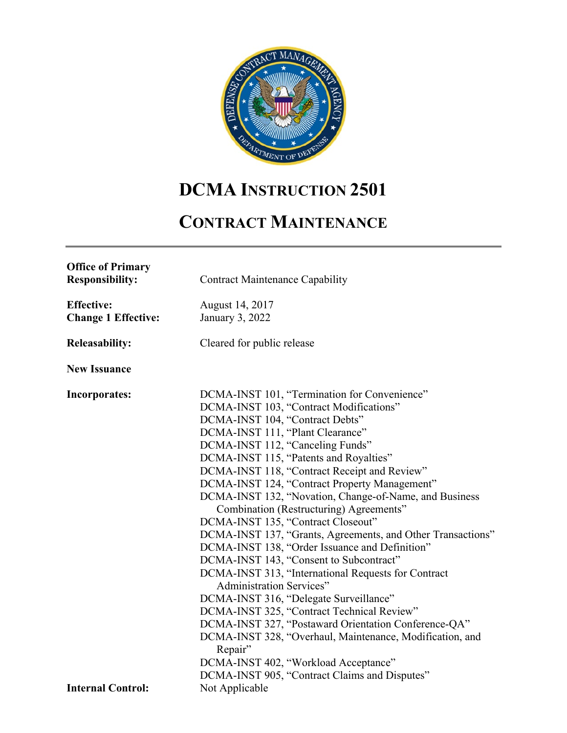

# **DCMA INSTRUCTION 2501**

## **CONTRACT MAINTENANCE**

| <b>Office of Primary</b><br><b>Responsibility:</b> | <b>Contract Maintenance Capability</b>                              |
|----------------------------------------------------|---------------------------------------------------------------------|
| <b>Effective:</b>                                  | August 14, 2017                                                     |
| <b>Change 1 Effective:</b>                         | January 3, 2022                                                     |
| <b>Releasability:</b>                              | Cleared for public release                                          |
| <b>New Issuance</b>                                |                                                                     |
| <b>Incorporates:</b>                               | DCMA-INST 101, "Termination for Convenience"                        |
|                                                    | DCMA-INST 103, "Contract Modifications"                             |
|                                                    | DCMA-INST 104, "Contract Debts"                                     |
|                                                    | DCMA-INST 111, "Plant Clearance"                                    |
|                                                    | DCMA-INST 112, "Canceling Funds"                                    |
|                                                    | DCMA-INST 115, "Patents and Royalties"                              |
|                                                    | DCMA-INST 118, "Contract Receipt and Review"                        |
|                                                    | DCMA-INST 124, "Contract Property Management"                       |
|                                                    | DCMA-INST 132, "Novation, Change-of-Name, and Business              |
|                                                    | Combination (Restructuring) Agreements"                             |
|                                                    | DCMA-INST 135, "Contract Closeout"                                  |
|                                                    | DCMA-INST 137, "Grants, Agreements, and Other Transactions"         |
|                                                    | DCMA-INST 138, "Order Issuance and Definition"                      |
|                                                    | DCMA-INST 143, "Consent to Subcontract"                             |
|                                                    | DCMA-INST 313, "International Requests for Contract                 |
|                                                    | <b>Administration Services"</b>                                     |
|                                                    | DCMA-INST 316, "Delegate Surveillance"                              |
|                                                    | DCMA-INST 325, "Contract Technical Review"                          |
|                                                    | DCMA-INST 327, "Postaward Orientation Conference-QA"                |
|                                                    | DCMA-INST 328, "Overhaul, Maintenance, Modification, and<br>Repair" |
|                                                    | DCMA-INST 402, "Workload Acceptance"                                |
|                                                    | DCMA-INST 905, "Contract Claims and Disputes"                       |
| <b>Internal Control:</b>                           | Not Applicable                                                      |
|                                                    |                                                                     |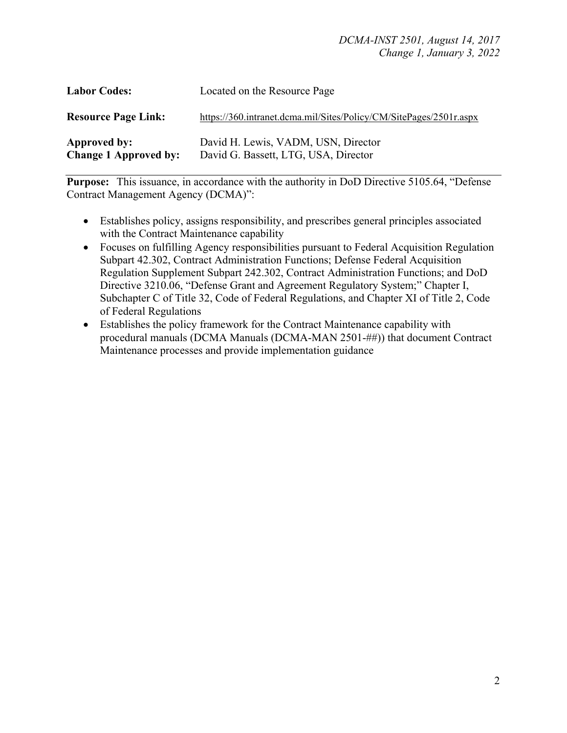| <b>Labor Codes:</b>                          | Located on the Resource Page                                                |
|----------------------------------------------|-----------------------------------------------------------------------------|
| <b>Resource Page Link:</b>                   | https://360.intranet.dcma.mil/Sites/Policy/CM/SitePages/2501r.aspx          |
| Approved by:<br><b>Change 1 Approved by:</b> | David H. Lewis, VADM, USN, Director<br>David G. Bassett, LTG, USA, Director |

**Purpose:** This issuance, in accordance with the authority in DoD Directive 5105.64, "Defense Contract Management Agency (DCMA)":

- Establishes policy, assigns responsibility, and prescribes general principles associated with the Contract Maintenance capability
- Focuses on fulfilling Agency responsibilities pursuant to Federal Acquisition Regulation Subpart 42.302, Contract Administration Functions; Defense Federal Acquisition Regulation Supplement Subpart 242.302, Contract Administration Functions; and DoD Directive 3210.06, "Defense Grant and Agreement Regulatory System;" Chapter I, Subchapter C of Title 32, Code of Federal Regulations, and Chapter XI of Title 2, Code of Federal Regulations
- Establishes the policy framework for the Contract Maintenance capability with procedural manuals (DCMA Manuals (DCMA-MAN 2501-##)) that document Contract Maintenance processes and provide implementation guidance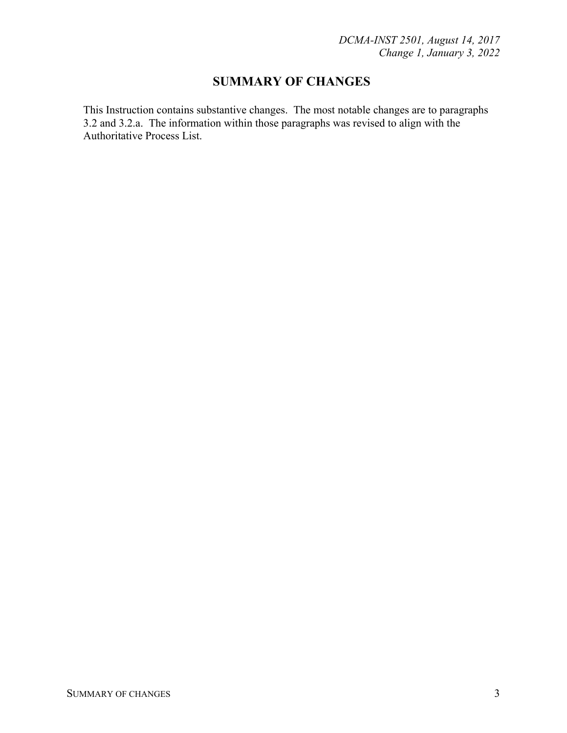## **SUMMARY OF CHANGES**

This Instruction contains substantive changes. The most notable changes are to paragraphs 3.2 and 3.2.a. The information within those paragraphs was revised to align with the Authoritative Process List.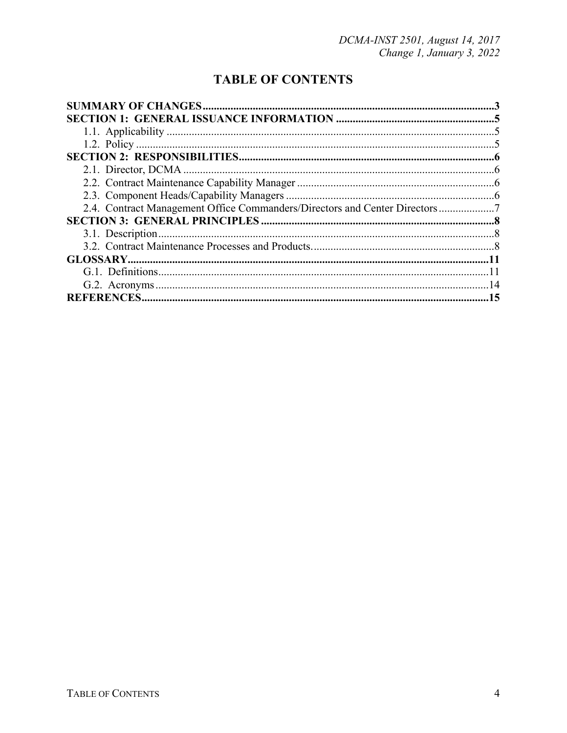## **TABLE OF CONTENTS**

| 2.4. Contract Management Office Commanders/Directors and Center Directors 7 |  |
|-----------------------------------------------------------------------------|--|
|                                                                             |  |
|                                                                             |  |
|                                                                             |  |
|                                                                             |  |
|                                                                             |  |
|                                                                             |  |
|                                                                             |  |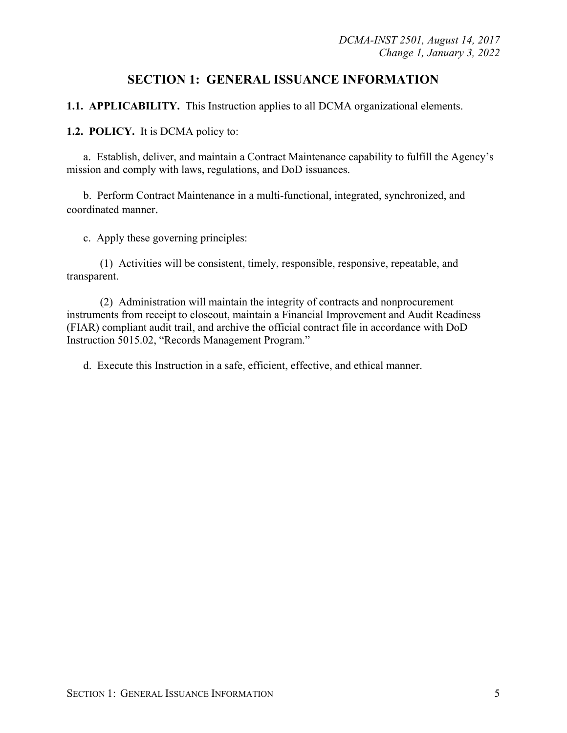## **SECTION 1: GENERAL ISSUANCE INFORMATION**

**1.1. APPLICABILITY.** This Instruction applies to all DCMA organizational elements.

**1.2. POLICY.** It is DCMA policy to:

a. Establish, deliver, and maintain a Contract Maintenance capability to fulfill the Agency's mission and comply with laws, regulations, and DoD issuances.

b. Perform Contract Maintenance in a multi-functional, integrated, synchronized, and coordinated manner.

c. Apply these governing principles:

(1) Activities will be consistent, timely, responsible, responsive, repeatable, and transparent.

(2) Administration will maintain the integrity of contracts and nonprocurement instruments from receipt to closeout, maintain a Financial Improvement and Audit Readiness (FIAR) compliant audit trail, and archive the official contract file in accordance with DoD Instruction 5015.02, "Records Management Program."

d. Execute this Instruction in a safe, efficient, effective, and ethical manner.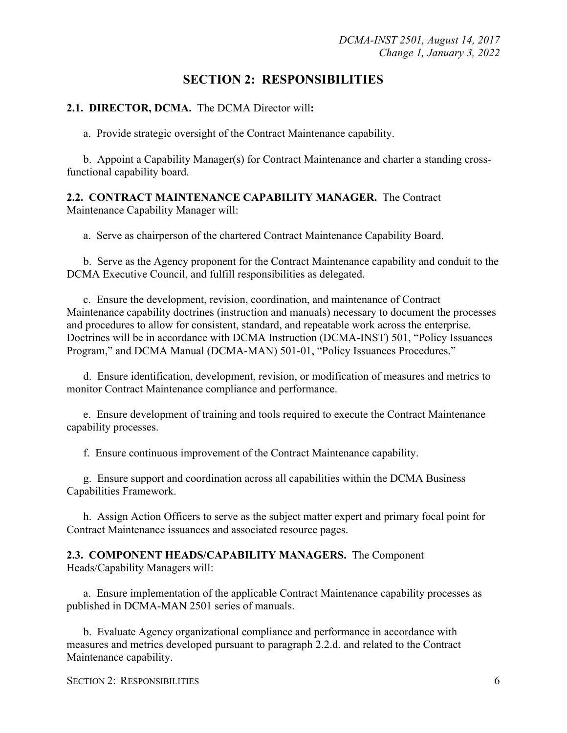## **SECTION 2: RESPONSIBILITIES**

#### **2.1. DIRECTOR, DCMA.** The DCMA Director will**:**

a. Provide strategic oversight of the Contract Maintenance capability.

b. Appoint a Capability Manager(s) for Contract Maintenance and charter a standing crossfunctional capability board.

#### **2.2. CONTRACT MAINTENANCE CAPABILITY MANAGER.** The Contract Maintenance Capability Manager will:

a. Serve as chairperson of the chartered Contract Maintenance Capability Board.

b. Serve as the Agency proponent for the Contract Maintenance capability and conduit to the DCMA Executive Council, and fulfill responsibilities as delegated.

c. Ensure the development, revision, coordination, and maintenance of Contract Maintenance capability doctrines (instruction and manuals) necessary to document the processes and procedures to allow for consistent, standard, and repeatable work across the enterprise. Doctrines will be in accordance with DCMA Instruction (DCMA-INST) 501, "Policy Issuances Program," and DCMA Manual (DCMA-MAN) 501-01, "Policy Issuances Procedures."

d. Ensure identification, development, revision, or modification of measures and metrics to monitor Contract Maintenance compliance and performance.

e. Ensure development of training and tools required to execute the Contract Maintenance capability processes.

f. Ensure continuous improvement of the Contract Maintenance capability.

g. Ensure support and coordination across all capabilities within the DCMA Business Capabilities Framework.

h. Assign Action Officers to serve as the subject matter expert and primary focal point for Contract Maintenance issuances and associated resource pages.

#### **2.3. COMPONENT HEADS/CAPABILITY MANAGERS.** The Component Heads/Capability Managers will:

a. Ensure implementation of the applicable Contract Maintenance capability processes as published in DCMA-MAN 2501 series of manuals.

b. Evaluate Agency organizational compliance and performance in accordance with measures and metrics developed pursuant to paragraph 2.2.d. and related to the Contract Maintenance capability.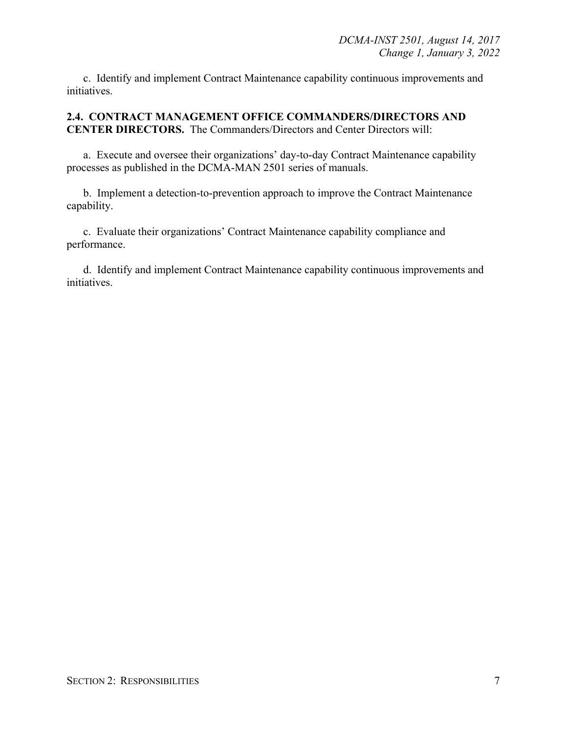c. Identify and implement Contract Maintenance capability continuous improvements and initiatives.

**2.4. CONTRACT MANAGEMENT OFFICE COMMANDERS/DIRECTORS AND CENTER DIRECTORS.** The Commanders/Directors and Center Directors will:

a. Execute and oversee their organizations' day-to-day Contract Maintenance capability processes as published in the DCMA-MAN 2501 series of manuals.

b. Implement a detection-to-prevention approach to improve the Contract Maintenance capability.

c. Evaluate their organizations' Contract Maintenance capability compliance and performance.

d. Identify and implement Contract Maintenance capability continuous improvements and initiatives.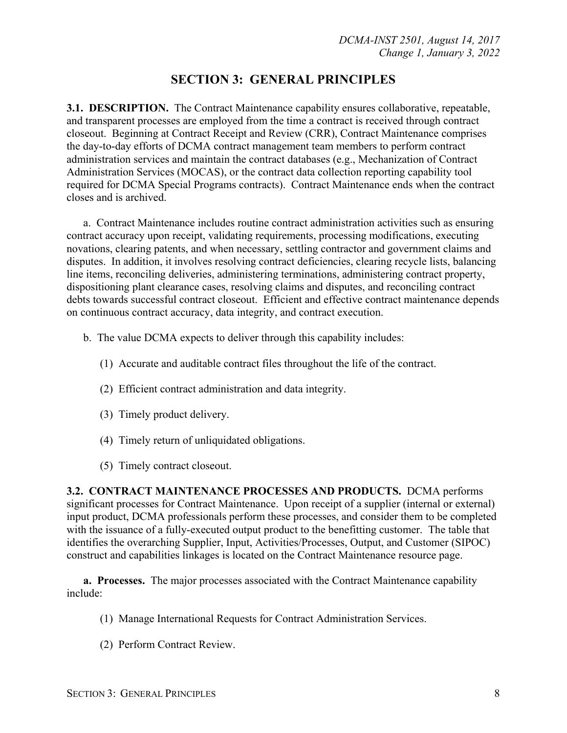## **SECTION 3: GENERAL PRINCIPLES**

**3.1. DESCRIPTION.** The Contract Maintenance capability ensures collaborative, repeatable, and transparent processes are employed from the time a contract is received through contract closeout. Beginning at Contract Receipt and Review (CRR), Contract Maintenance comprises the day-to-day efforts of DCMA contract management team members to perform contract administration services and maintain the contract databases (e.g., Mechanization of Contract Administration Services (MOCAS), or the contract data collection reporting capability tool required for DCMA Special Programs contracts). Contract Maintenance ends when the contract closes and is archived.

a. Contract Maintenance includes routine contract administration activities such as ensuring contract accuracy upon receipt, validating requirements, processing modifications, executing novations, clearing patents, and when necessary, settling contractor and government claims and disputes. In addition, it involves resolving contract deficiencies, clearing recycle lists, balancing line items, reconciling deliveries, administering terminations, administering contract property, dispositioning plant clearance cases, resolving claims and disputes, and reconciling contract debts towards successful contract closeout. Efficient and effective contract maintenance depends on continuous contract accuracy, data integrity, and contract execution.

- b. The value DCMA expects to deliver through this capability includes:
	- (1) Accurate and auditable contract files throughout the life of the contract.
	- (2) Efficient contract administration and data integrity.
	- (3) Timely product delivery.
	- (4) Timely return of unliquidated obligations.
	- (5) Timely contract closeout.

**3.2. CONTRACT MAINTENANCE PROCESSES AND PRODUCTS.** DCMA performs significant processes for Contract Maintenance. Upon receipt of a supplier (internal or external) input product, DCMA professionals perform these processes, and consider them to be completed with the issuance of a fully-executed output product to the benefitting customer. The table that identifies the overarching Supplier, Input, Activities/Processes, Output, and Customer (SIPOC) construct and capabilities linkages is located on the Contract Maintenance resource page.

**a. Processes.** The major processes associated with the Contract Maintenance capability include:

- (1) Manage International Requests for Contract Administration Services.
- (2) Perform Contract Review.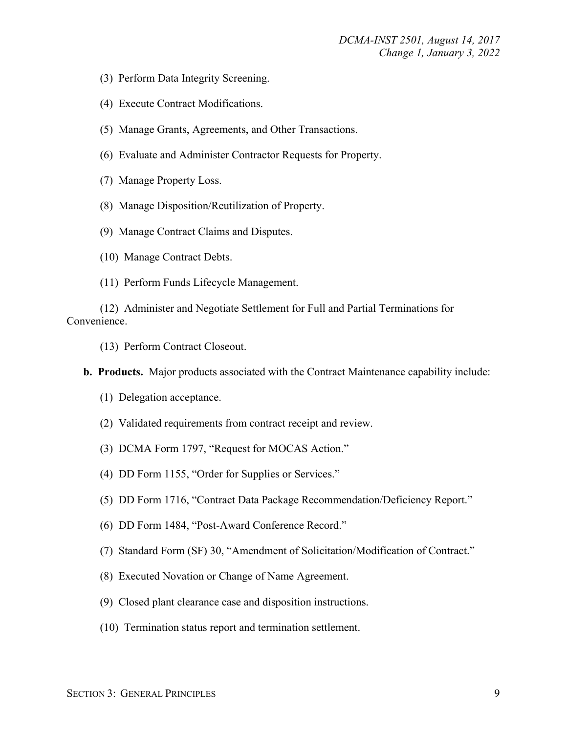- (3) Perform Data Integrity Screening.
- (4) Execute Contract Modifications.
- (5) Manage Grants, Agreements, and Other Transactions.
- (6) Evaluate and Administer Contractor Requests for Property.
- (7) Manage Property Loss.
- (8) Manage Disposition/Reutilization of Property.
- (9) Manage Contract Claims and Disputes.
- (10) Manage Contract Debts.
- (11) Perform Funds Lifecycle Management.

 (12) Administer and Negotiate Settlement for Full and Partial Terminations for Convenience.

(13) Perform Contract Closeout.

**b. Products.** Major products associated with the Contract Maintenance capability include:

- (1) Delegation acceptance.
- (2) Validated requirements from contract receipt and review.
- (3) DCMA Form 1797, "Request for MOCAS Action."
- (4) DD Form 1155, "Order for Supplies or Services."
- (5) DD Form 1716, "Contract Data Package Recommendation/Deficiency Report."
- (6) DD Form 1484, "Post-Award Conference Record."
- (7) Standard Form (SF) 30, "Amendment of Solicitation/Modification of Contract."
- (8) Executed Novation or Change of Name Agreement.
- (9) Closed plant clearance case and disposition instructions.
- (10) Termination status report and termination settlement.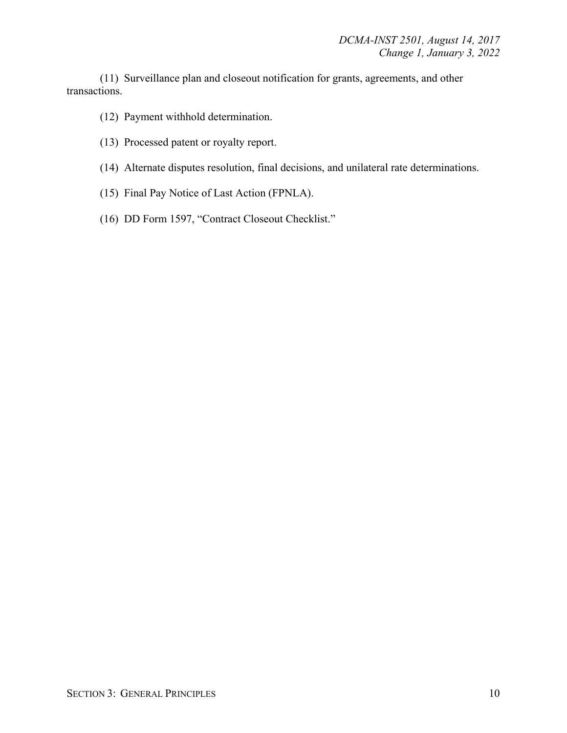(11) Surveillance plan and closeout notification for grants, agreements, and other transactions.

(12) Payment withhold determination.

- (13) Processed patent or royalty report.
- (14) Alternate disputes resolution, final decisions, and unilateral rate determinations.
- (15) Final Pay Notice of Last Action (FPNLA).
- (16) DD Form 1597, "Contract Closeout Checklist."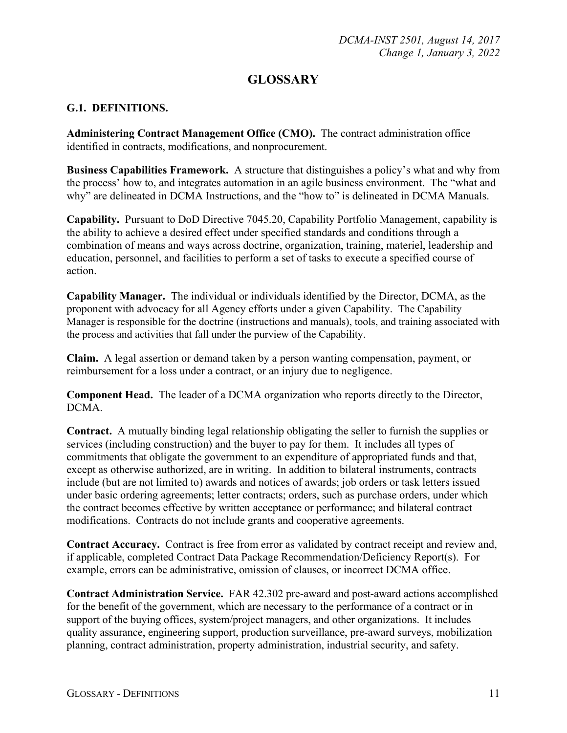## **GLOSSARY**

#### **G.1. DEFINITIONS.**

**Administering Contract Management Office (CMO).** The contract administration office identified in contracts, modifications, and nonprocurement.

**Business Capabilities Framework.** A structure that distinguishes a policy's what and why from the process' how to, and integrates automation in an agile business environment. The "what and why" are delineated in DCMA Instructions, and the "how to" is delineated in DCMA Manuals.

**Capability.** Pursuant to DoD Directive 7045.20, Capability Portfolio Management, capability is the ability to achieve a desired effect under specified standards and conditions through a combination of means and ways across doctrine, organization, training, materiel, leadership and education, personnel, and facilities to perform a set of tasks to execute a specified course of action.

**Capability Manager.** The individual or individuals identified by the Director, DCMA, as the proponent with advocacy for all Agency efforts under a given Capability. The Capability Manager is responsible for the doctrine (instructions and manuals), tools, and training associated with the process and activities that fall under the purview of the Capability.

**Claim.** A legal assertion or demand taken by a person wanting compensation, payment, or reimbursement for a loss under a contract, or an injury due to negligence.

**Component Head.** The leader of a DCMA organization who reports directly to the Director, DCMA.

**Contract.** A mutually binding legal relationship obligating the seller to furnish the supplies or services (including construction) and the buyer to pay for them. It includes all types of commitments that obligate the government to an expenditure of appropriated funds and that, except as otherwise authorized, are in writing. In addition to bilateral instruments, contracts include (but are not limited to) awards and notices of awards; job orders or task letters issued under basic ordering agreements; letter contracts; orders, such as purchase orders, under which the contract becomes effective by written acceptance or performance; and bilateral contract modifications. Contracts do not include grants and cooperative agreements.

**Contract Accuracy.** Contract is free from error as validated by contract receipt and review and, if applicable, completed Contract Data Package Recommendation/Deficiency Report(s). For example, errors can be administrative, omission of clauses, or incorrect DCMA office.

**Contract Administration Service.** FAR 42.302 pre-award and post-award actions accomplished for the benefit of the government, which are necessary to the performance of a contract or in support of the buying offices, system/project managers, and other organizations. It includes quality assurance, engineering support, production surveillance, pre-award surveys, mobilization planning, contract administration, property administration, industrial security, and safety.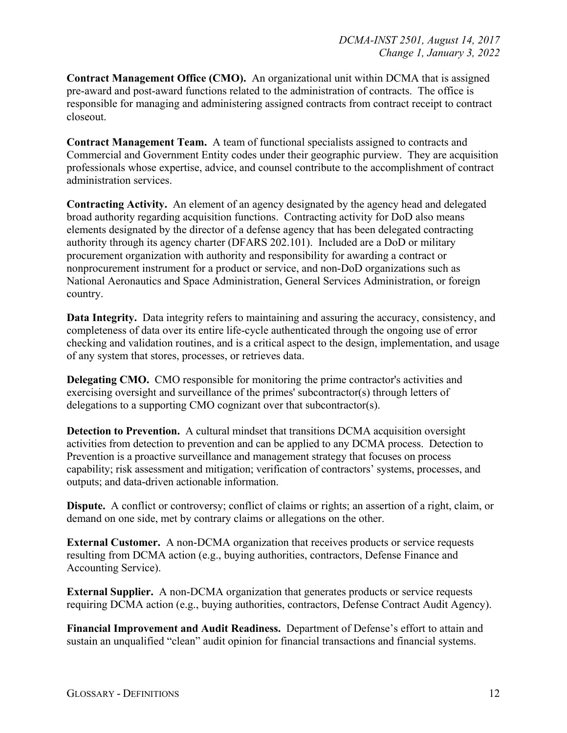**Contract Management Office (CMO).** An organizational unit within DCMA that is assigned pre-award and post-award functions related to the administration of contracts. The office is responsible for managing and administering assigned contracts from contract receipt to contract closeout.

**Contract Management Team.** A team of functional specialists assigned to contracts and Commercial and Government Entity codes under their geographic purview. They are acquisition professionals whose expertise, advice, and counsel contribute to the accomplishment of contract administration services.

**Contracting Activity.** An element of an agency designated by the agency head and delegated broad authority regarding acquisition functions. Contracting activity for DoD also means elements designated by the director of a defense agency that has been delegated contracting authority through its agency charter (DFARS 202.101). Included are a DoD or military procurement organization with authority and responsibility for awarding a contract or nonprocurement instrument for a product or service, and non-DoD organizations such as National Aeronautics and Space Administration, General Services Administration, or foreign country.

**Data Integrity.** Data integrity refers to maintaining and assuring the accuracy, consistency, and completeness of data over its entire life-cycle authenticated through the ongoing use of error checking and validation routines, and is a critical aspect to the design, implementation, and usage of any system that stores, processes, or retrieves data.

**Delegating CMO.** CMO responsible for monitoring the prime contractor's activities and exercising oversight and surveillance of the primes' subcontractor(s) through letters of delegations to a supporting CMO cognizant over that subcontractor(s).

**Detection to Prevention.** A cultural mindset that transitions DCMA acquisition oversight activities from detection to prevention and can be applied to any DCMA process. Detection to Prevention is a proactive surveillance and management strategy that focuses on process capability; risk assessment and mitigation; verification of contractors' systems, processes, and outputs; and data-driven actionable information.

**Dispute.** A conflict or controversy; conflict of claims or rights; an assertion of a right, claim, or demand on one side, met by contrary claims or allegations on the other.

**External Customer.** A non-DCMA organization that receives products or service requests resulting from DCMA action (e.g., buying authorities, contractors, Defense Finance and Accounting Service).

**External Supplier.** A non-DCMA organization that generates products or service requests requiring DCMA action (e.g., buying authorities, contractors, Defense Contract Audit Agency).

**Financial Improvement and Audit Readiness.** Department of Defense's effort to attain and sustain an unqualified "clean" audit opinion for financial transactions and financial systems.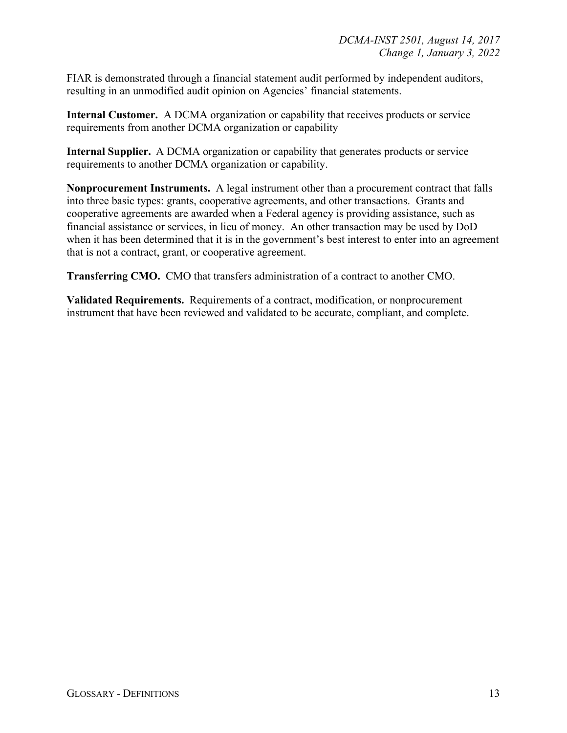FIAR is demonstrated through a financial statement audit performed by independent auditors, resulting in an unmodified audit opinion on Agencies' financial statements.

**Internal Customer.** A DCMA organization or capability that receives products or service requirements from another DCMA organization or capability

**Internal Supplier.** A DCMA organization or capability that generates products or service requirements to another DCMA organization or capability.

**Nonprocurement Instruments.** A legal instrument other than a procurement contract that falls into three basic types: grants, cooperative agreements, and other transactions. Grants and cooperative agreements are awarded when a Federal agency is providing assistance, such as financial assistance or services, in lieu of money. An other transaction may be used by DoD when it has been determined that it is in the government's best interest to enter into an agreement that is not a contract, grant, or cooperative agreement.

**Transferring CMO.** CMO that transfers administration of a contract to another CMO.

**Validated Requirements.** Requirements of a contract, modification, or nonprocurement instrument that have been reviewed and validated to be accurate, compliant, and complete.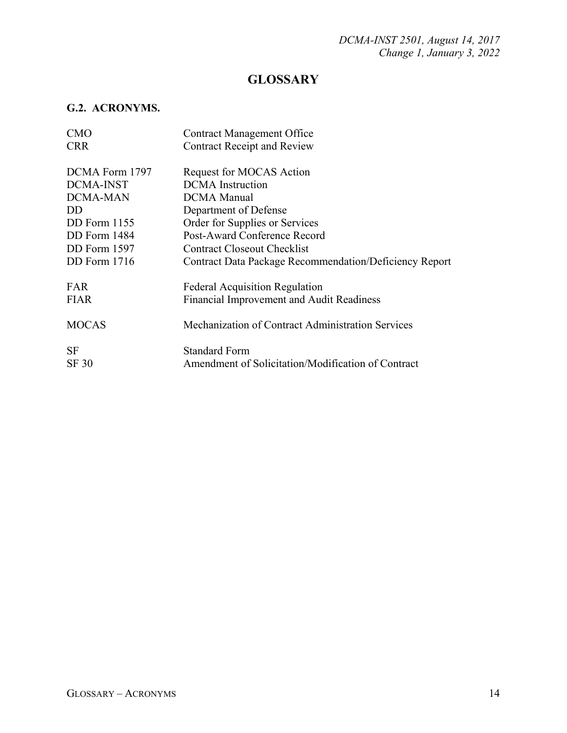## **GLOSSARY**

## **G.2. ACRONYMS.**

| <b>CMO</b>          | <b>Contract Management Office</b>                             |
|---------------------|---------------------------------------------------------------|
| <b>CRR</b>          | <b>Contract Receipt and Review</b>                            |
|                     |                                                               |
| DCMA Form 1797      | Request for MOCAS Action                                      |
| <b>DCMA-INST</b>    | <b>DCMA</b> Instruction                                       |
| <b>DCMA-MAN</b>     | <b>DCMA</b> Manual                                            |
| DD                  | Department of Defense                                         |
| DD Form 1155        | Order for Supplies or Services                                |
| DD Form 1484        | Post-Award Conference Record                                  |
| $DD$ Form $1597$    | Contract Closeout Checklist                                   |
| <b>DD</b> Form 1716 | <b>Contract Data Package Recommendation/Deficiency Report</b> |
|                     |                                                               |
| <b>FAR</b>          | <b>Federal Acquisition Regulation</b>                         |
| <b>FIAR</b>         | Financial Improvement and Audit Readiness                     |
|                     |                                                               |
| <b>MOCAS</b>        | Mechanization of Contract Administration Services             |
|                     |                                                               |
| <b>SF</b>           | <b>Standard Form</b>                                          |
| SF 30               | Amendment of Solicitation/Modification of Contract            |
|                     |                                                               |